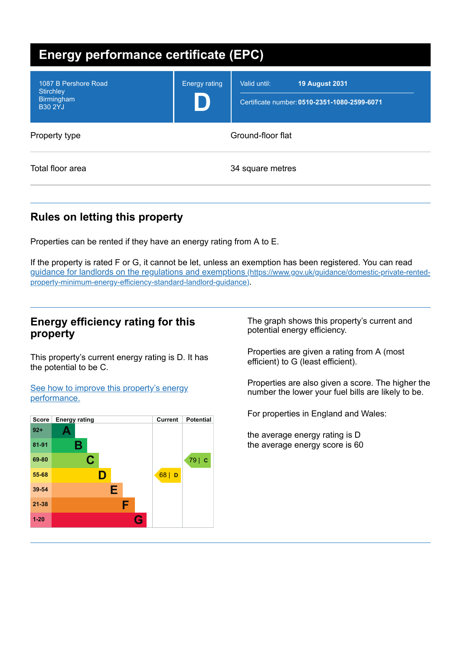| <b>Energy performance certificate (EPC)</b>                                     |                      |                                                                                       |
|---------------------------------------------------------------------------------|----------------------|---------------------------------------------------------------------------------------|
| 1087 B Pershore Road<br><b>Stirchley</b><br><b>Birmingham</b><br><b>B30 2YJ</b> | <b>Energy rating</b> | <b>19 August 2031</b><br>Valid until:<br>Certificate number: 0510-2351-1080-2599-6071 |
| Property type                                                                   | Ground-floor flat    |                                                                                       |
| Total floor area                                                                | 34 square metres     |                                                                                       |

# **Rules on letting this property**

Properties can be rented if they have an energy rating from A to E.

If the property is rated F or G, it cannot be let, unless an exemption has been registered. You can read guidance for landlords on the regulations and exemptions (https://www.gov.uk/guidance/domestic-private-rented[property-minimum-energy-efficiency-standard-landlord-guidance\)](https://www.gov.uk/guidance/domestic-private-rented-property-minimum-energy-efficiency-standard-landlord-guidance).

## **Energy efficiency rating for this property**

This property's current energy rating is D. It has the potential to be C.

See how to improve this property's energy [performance.](#page-2-0)



The graph shows this property's current and potential energy efficiency.

Properties are given a rating from A (most efficient) to G (least efficient).

Properties are also given a score. The higher the number the lower your fuel bills are likely to be.

For properties in England and Wales:

the average energy rating is D the average energy score is 60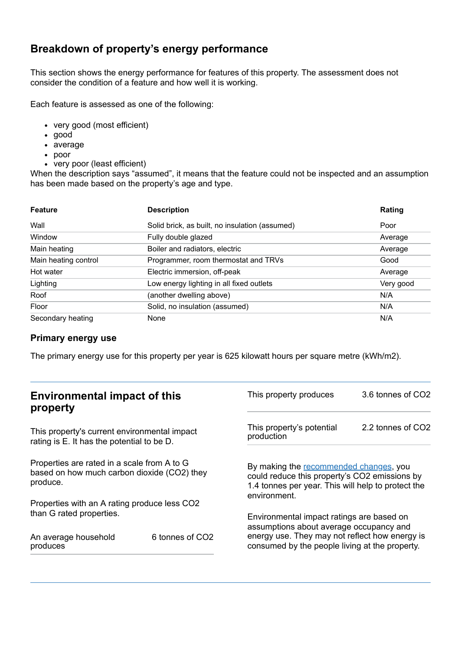## **Breakdown of property's energy performance**

This section shows the energy performance for features of this property. The assessment does not consider the condition of a feature and how well it is working.

Each feature is assessed as one of the following:

- very good (most efficient)
- good
- average
- poor
- very poor (least efficient)

When the description says "assumed", it means that the feature could not be inspected and an assumption has been made based on the property's age and type.

| <b>Feature</b>       | <b>Description</b>                             | Rating    |
|----------------------|------------------------------------------------|-----------|
| Wall                 | Solid brick, as built, no insulation (assumed) | Poor      |
| Window               | Fully double glazed                            | Average   |
| Main heating         | Boiler and radiators, electric                 | Average   |
| Main heating control | Programmer, room thermostat and TRVs           | Good      |
| Hot water            | Electric immersion, off-peak                   | Average   |
| Lighting             | Low energy lighting in all fixed outlets       | Very good |
| Roof                 | (another dwelling above)                       | N/A       |
| Floor                | Solid, no insulation (assumed)                 | N/A       |
| Secondary heating    | None                                           | N/A       |

#### **Primary energy use**

The primary energy use for this property per year is 625 kilowatt hours per square metre (kWh/m2).

| <b>Environmental impact of this</b><br>property                                                        |                             | This property produces                                                                                                                                        | 3.6 tonnes of CO2 |
|--------------------------------------------------------------------------------------------------------|-----------------------------|---------------------------------------------------------------------------------------------------------------------------------------------------------------|-------------------|
| This property's current environmental impact<br>rating is E. It has the potential to be D.             |                             | This property's potential<br>production                                                                                                                       | 2.2 tonnes of CO2 |
| Properties are rated in a scale from A to G<br>based on how much carbon dioxide (CO2) they<br>produce. |                             | By making the recommended changes, you<br>could reduce this property's CO2 emissions by<br>1.4 tonnes per year. This will help to protect the<br>environment. |                   |
| Properties with an A rating produce less CO2                                                           |                             |                                                                                                                                                               |                   |
| than G rated properties.                                                                               |                             | Environmental impact ratings are based on<br>assumptions about average occupancy and                                                                          |                   |
| An average household<br>produces                                                                       | 6 tonnes of CO <sub>2</sub> | energy use. They may not reflect how energy is<br>consumed by the people living at the property.                                                              |                   |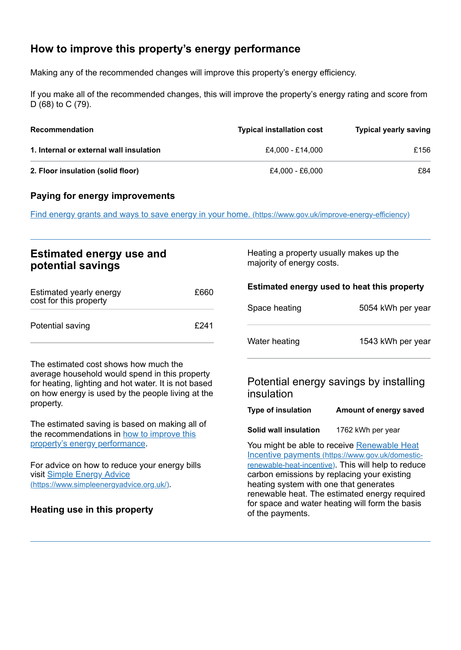# <span id="page-2-0"></span>**How to improve this property's energy performance**

Making any of the recommended changes will improve this property's energy efficiency.

If you make all of the recommended changes, this will improve the property's energy rating and score from D (68) to C (79).

| <b>Recommendation</b>                   | <b>Typical installation cost</b> | <b>Typical yearly saving</b> |
|-----------------------------------------|----------------------------------|------------------------------|
| 1. Internal or external wall insulation | £4.000 - £14.000                 | £156                         |
| 2. Floor insulation (solid floor)       | £4.000 - £6.000                  | £84                          |

#### **Paying for energy improvements**

Find energy grants and ways to save energy in your home. [\(https://www.gov.uk/improve-energy-efficiency\)](https://www.gov.uk/improve-energy-efficiency)

## **Estimated energy use and potential savings**

| Estimated yearly energy<br>cost for this property | £660 |
|---------------------------------------------------|------|
| Potential saving                                  | £241 |

The estimated cost shows how much the average household would spend in this property for heating, lighting and hot water. It is not based on how energy is used by the people living at the property.

The estimated saving is based on making all of the [recommendations](#page-2-0) in how to improve this property's energy performance.

For advice on how to reduce your energy bills visit Simple Energy Advice [\(https://www.simpleenergyadvice.org.uk/\)](https://www.simpleenergyadvice.org.uk/).

#### **Heating use in this property**

Heating a property usually makes up the majority of energy costs.

| Estimated energy used to heat this property |                   |
|---------------------------------------------|-------------------|
| Space heating                               | 5054 kWh per year |
| Water heating                               | 1543 kWh per year |

## Potential energy savings by installing insulation

| <b>Type of insulation</b> | Amount of energy saved |
|---------------------------|------------------------|
|---------------------------|------------------------|

**Solid wall insulation** 1762 kWh per year

You might be able to receive Renewable Heat Incentive payments [\(https://www.gov.uk/domestic](https://www.gov.uk/domestic-renewable-heat-incentive)renewable-heat-incentive). This will help to reduce carbon emissions by replacing your existing heating system with one that generates renewable heat. The estimated energy required for space and water heating will form the basis of the payments.